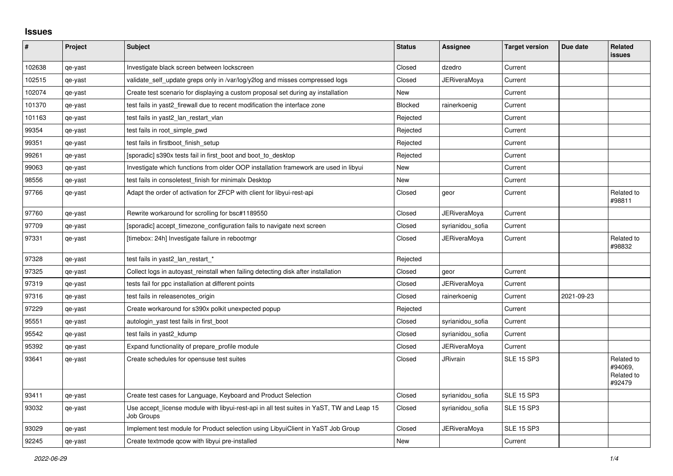## **Issues**

| #      | Project | <b>Subject</b>                                                                                          | <b>Status</b> | Assignee            | <b>Target version</b> | Due date   | Related<br><b>issues</b>                      |
|--------|---------|---------------------------------------------------------------------------------------------------------|---------------|---------------------|-----------------------|------------|-----------------------------------------------|
| 102638 | qe-yast | Investigate black screen between lockscreen                                                             | Closed        | dzedro              | Current               |            |                                               |
| 102515 | qe-yast | validate_self_update greps only in /var/log/y2log and misses compressed logs                            | Closed        | JERiveraMoya        | Current               |            |                                               |
| 102074 | qe-yast | Create test scenario for displaying a custom proposal set during ay installation                        | <b>New</b>    |                     | Current               |            |                                               |
| 101370 | qe-yast | test fails in yast2 firewall due to recent modification the interface zone                              | Blocked       | rainerkoenig        | Current               |            |                                               |
| 101163 | qe-yast | test fails in yast2_lan_restart_vlan                                                                    | Rejected      |                     | Current               |            |                                               |
| 99354  | qe-yast | test fails in root simple pwd                                                                           | Rejected      |                     | Current               |            |                                               |
| 99351  | qe-yast | test fails in firstboot_finish_setup                                                                    | Rejected      |                     | Current               |            |                                               |
| 99261  | qe-yast | [sporadic] s390x tests fail in first_boot and boot_to_desktop                                           | Rejected      |                     | Current               |            |                                               |
| 99063  | qe-yast | Investigate which functions from older OOP installation framework are used in libyui                    | <b>New</b>    |                     | Current               |            |                                               |
| 98556  | qe-yast | test fails in consoletest finish for minimalx Desktop                                                   | New           |                     | Current               |            |                                               |
| 97766  | qe-yast | Adapt the order of activation for ZFCP with client for libyui-rest-api                                  | Closed        | geor                | Current               |            | Related to<br>#98811                          |
| 97760  | qe-yast | Rewrite workaround for scrolling for bsc#1189550                                                        | Closed        | <b>JERiveraMoya</b> | Current               |            |                                               |
| 97709  | qe-yast | [sporadic] accept timezone configuration fails to navigate next screen                                  | Closed        | syrianidou_sofia    | Current               |            |                                               |
| 97331  | qe-yast | [timebox: 24h] Investigate failure in rebootmgr                                                         | Closed        | JERiveraMoya        | Current               |            | Related to<br>#98832                          |
| 97328  | qe-yast | test fails in yast2_lan_restart_*                                                                       | Rejected      |                     |                       |            |                                               |
| 97325  | qe-yast | Collect logs in autoyast reinstall when failing detecting disk after installation                       | Closed        | geor                | Current               |            |                                               |
| 97319  | qe-yast | tests fail for ppc installation at different points                                                     | Closed        | <b>JERiveraMoya</b> | Current               |            |                                               |
| 97316  | qe-yast | test fails in releasenotes_origin                                                                       | Closed        | rainerkoenig        | Current               | 2021-09-23 |                                               |
| 97229  | qe-yast | Create workaround for s390x polkit unexpected popup                                                     | Rejected      |                     | Current               |            |                                               |
| 95551  | qe-yast | autologin_yast test fails in first_boot                                                                 | Closed        | syrianidou sofia    | Current               |            |                                               |
| 95542  | qe-yast | test fails in yast2_kdump                                                                               | Closed        | syrianidou_sofia    | Current               |            |                                               |
| 95392  | qe-yast | Expand functionality of prepare profile module                                                          | Closed        | <b>JERiveraMova</b> | Current               |            |                                               |
| 93641  | qe-yast | Create schedules for opensuse test suites                                                               | Closed        | <b>JRivrain</b>     | <b>SLE 15 SP3</b>     |            | Related to<br>#94069.<br>Related to<br>#92479 |
| 93411  | qe-yast | Create test cases for Language, Keyboard and Product Selection                                          | Closed        | syrianidou_sofia    | <b>SLE 15 SP3</b>     |            |                                               |
| 93032  | qe-yast | Use accept_license module with libyui-rest-api in all test suites in YaST, TW and Leap 15<br>Job Groups | Closed        | syrianidou_sofia    | <b>SLE 15 SP3</b>     |            |                                               |
| 93029  | qe-yast | Implement test module for Product selection using LibyuiClient in YaST Job Group                        | Closed        | JERiveraMoya        | <b>SLE 15 SP3</b>     |            |                                               |
| 92245  | qe-yast | Create textmode gcow with libyui pre-installed                                                          | New           |                     | Current               |            |                                               |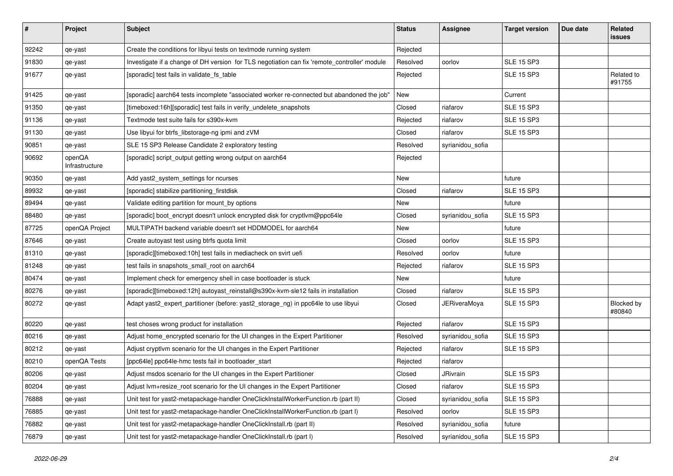| $\vert$ # | Project                  | <b>Subject</b>                                                                               | <b>Status</b> | <b>Assignee</b>     | <b>Target version</b> | Due date | Related<br><b>issues</b> |
|-----------|--------------------------|----------------------------------------------------------------------------------------------|---------------|---------------------|-----------------------|----------|--------------------------|
| 92242     | qe-yast                  | Create the conditions for libyui tests on textmode running system                            | Rejected      |                     |                       |          |                          |
| 91830     | qe-yast                  | Investigate if a change of DH version for TLS negotiation can fix 'remote_controller' module | Resolved      | oorlov              | <b>SLE 15 SP3</b>     |          |                          |
| 91677     | qe-yast                  | [sporadic] test fails in validate_fs_table                                                   | Rejected      |                     | <b>SLE 15 SP3</b>     |          | Related to<br>#91755     |
| 91425     | qe-yast                  | [sporadic] aarch64 tests incomplete "associated worker re-connected but abandoned the job"   | New           |                     | Current               |          |                          |
| 91350     | qe-yast                  | [timeboxed:16h][sporadic] test fails in verify_undelete_snapshots                            | Closed        | riafarov            | <b>SLE 15 SP3</b>     |          |                          |
| 91136     | qe-yast                  | Textmode test suite fails for s390x-kvm                                                      | Rejected      | riafarov            | <b>SLE 15 SP3</b>     |          |                          |
| 91130     | qe-yast                  | Use libyui for btrfs_libstorage-ng ipmi and zVM                                              | Closed        | riafarov            | <b>SLE 15 SP3</b>     |          |                          |
| 90851     | qe-yast                  | SLE 15 SP3 Release Candidate 2 exploratory testing                                           | Resolved      | syrianidou_sofia    |                       |          |                          |
| 90692     | openQA<br>Infrastructure | [sporadic] script_output getting wrong output on aarch64                                     | Rejected      |                     |                       |          |                          |
| 90350     | qe-yast                  | Add yast2_system_settings for ncurses                                                        | New           |                     | future                |          |                          |
| 89932     | qe-yast                  | [sporadic] stabilize partitioning_firstdisk                                                  | Closed        | riafarov            | <b>SLE 15 SP3</b>     |          |                          |
| 89494     | qe-yast                  | Validate editing partition for mount_by options                                              | New           |                     | future                |          |                          |
| 88480     | qe-yast                  | [sporadic] boot_encrypt doesn't unlock encrypted disk for cryptlvm@ppc64le                   | Closed        | syrianidou_sofia    | <b>SLE 15 SP3</b>     |          |                          |
| 87725     | openQA Project           | MULTIPATH backend variable doesn't set HDDMODEL for aarch64                                  | New           |                     | future                |          |                          |
| 87646     | qe-yast                  | Create autoyast test using btrfs quota limit                                                 | Closed        | oorlov              | <b>SLE 15 SP3</b>     |          |                          |
| 81310     | qe-yast                  | [sporadic][timeboxed:10h] test fails in mediacheck on svirt uefi                             | Resolved      | oorlov              | future                |          |                          |
| 81248     | qe-yast                  | test fails in snapshots_small_root on aarch64                                                | Rejected      | riafarov            | <b>SLE 15 SP3</b>     |          |                          |
| 80474     | qe-yast                  | Implement check for emergency shell in case bootloader is stuck                              | New           |                     | future                |          |                          |
| 80276     | qe-yast                  | [sporadic][timeboxed:12h] autoyast_reinstall@s390x-kvm-sle12 fails in installation           | Closed        | riafarov            | <b>SLE 15 SP3</b>     |          |                          |
| 80272     | qe-yast                  | Adapt yast2_expert_partitioner (before: yast2_storage_ng) in ppc64le to use libyui           | Closed        | <b>JERiveraMoya</b> | <b>SLE 15 SP3</b>     |          | Blocked by<br>#80840     |
| 80220     | qe-yast                  | test choses wrong product for installation                                                   | Rejected      | riafarov            | <b>SLE 15 SP3</b>     |          |                          |
| 80216     | qe-yast                  | Adjust home_encrypted scenario for the UI changes in the Expert Partitioner                  | Resolved      | syrianidou_sofia    | <b>SLE 15 SP3</b>     |          |                          |
| 80212     | qe-yast                  | Adjust cryptivm scenario for the UI changes in the Expert Partitioner                        | Rejected      | riafarov            | <b>SLE 15 SP3</b>     |          |                          |
| 80210     | openQA Tests             | [ppc64le] ppc64le-hmc tests fail in bootloader_start                                         | Rejected      | riafarov            |                       |          |                          |
| 80206     | qe-yast                  | Adjust msdos scenario for the UI changes in the Expert Partitioner                           | Closed        | JRivrain            | <b>SLE 15 SP3</b>     |          |                          |
| 80204     | qe-yast                  | Adjust lvm+resize_root scenario for the UI changes in the Expert Partitioner                 | Closed        | riafarov            | <b>SLE 15 SP3</b>     |          |                          |
| 76888     | qe-yast                  | Unit test for yast2-metapackage-handler OneClickInstallWorkerFunction.rb (part II)           | Closed        | syrianidou_sofia    | <b>SLE 15 SP3</b>     |          |                          |
| 76885     | qe-yast                  | Unit test for yast2-metapackage-handler OneClickInstallWorkerFunction.rb (part I)            | Resolved      | oorlov              | <b>SLE 15 SP3</b>     |          |                          |
| 76882     | qe-yast                  | Unit test for yast2-metapackage-handler OneClickInstall.rb (part II)                         | Resolved      | syrianidou_sofia    | future                |          |                          |
| 76879     | qe-yast                  | Unit test for yast2-metapackage-handler OneClickInstall.rb (part I)                          | Resolved      | syrianidou_sofia    | <b>SLE 15 SP3</b>     |          |                          |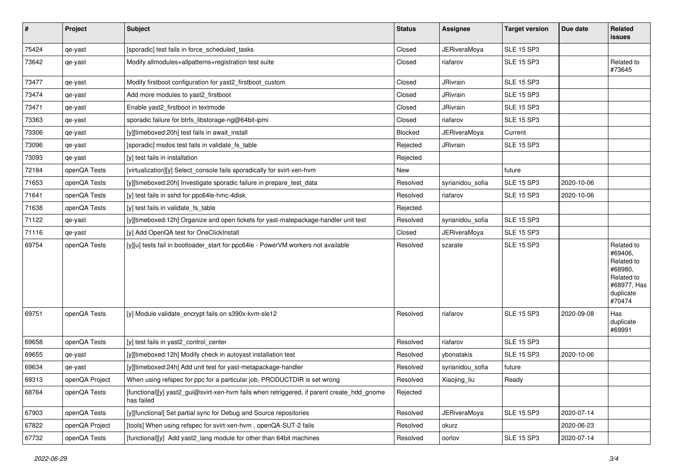| #     | Project        | Subject                                                                                                  | <b>Status</b> | Assignee            | <b>Target version</b> | Due date   | Related<br>issues                                                                                  |
|-------|----------------|----------------------------------------------------------------------------------------------------------|---------------|---------------------|-----------------------|------------|----------------------------------------------------------------------------------------------------|
| 75424 | qe-yast        | [sporadic] test fails in force_scheduled_tasks                                                           | Closed        | <b>JERiveraMoya</b> | <b>SLE 15 SP3</b>     |            |                                                                                                    |
| 73642 | qe-yast        | Modify allmodules+allpatterns+registration test suite                                                    | Closed        | riafarov            | <b>SLE 15 SP3</b>     |            | Related to<br>#73645                                                                               |
| 73477 | qe-yast        | Modify firstboot configuration for yast2_firstboot_custom                                                | Closed        | JRivrain            | <b>SLE 15 SP3</b>     |            |                                                                                                    |
| 73474 | qe-yast        | Add more modules to yast2 firstboot                                                                      | Closed        | <b>JRivrain</b>     | <b>SLE 15 SP3</b>     |            |                                                                                                    |
| 73471 | qe-yast        | Enable yast2_firstboot in textmode                                                                       | Closed        | <b>JRivrain</b>     | <b>SLE 15 SP3</b>     |            |                                                                                                    |
| 73363 | qe-yast        | sporadic failure for btrfs libstorage-ng@64bit-ipmi                                                      | Closed        | riafarov            | <b>SLE 15 SP3</b>     |            |                                                                                                    |
| 73306 | qe-yast        | [y][timeboxed:20h] test fails in await_install                                                           | Blocked       | JERiveraMoya        | Current               |            |                                                                                                    |
| 73096 | qe-yast        | [sporadic] msdos test fails in validate_fs_table                                                         | Rejected      | <b>JRivrain</b>     | <b>SLE 15 SP3</b>     |            |                                                                                                    |
| 73093 | qe-yast        | [y] test fails in installation                                                                           | Rejected      |                     |                       |            |                                                                                                    |
| 72184 | openQA Tests   | [virtualization][y] Select_console fails sporadically for svirt-xen-hvm                                  | New           |                     | future                |            |                                                                                                    |
| 71653 | openQA Tests   | [y][timeboxed:20h] Investigate sporadic failure in prepare test data                                     | Resolved      | syrianidou_sofia    | <b>SLE 15 SP3</b>     | 2020-10-06 |                                                                                                    |
| 71641 | openQA Tests   | [y] test fails in sshd for ppc64le-hmc-4disk                                                             | Resolved      | riafarov            | <b>SLE 15 SP3</b>     | 2020-10-06 |                                                                                                    |
| 71638 | openQA Tests   | [y] test fails in validate_fs_table                                                                      | Rejected      |                     |                       |            |                                                                                                    |
| 71122 | qe-yast        | [y][timeboxed:12h] Organize and open tickets for yast-matepackage-handler unit test                      | Resolved      | syrianidou_sofia    | <b>SLE 15 SP3</b>     |            |                                                                                                    |
| 71116 | qe-yast        | [y] Add OpenQA test for OneClickInstall                                                                  | Closed        | JERiveraMoya        | <b>SLE 15 SP3</b>     |            |                                                                                                    |
| 69754 | openQA Tests   | [y][u] tests fail in bootloader_start for ppc64le - PowerVM workers not available                        | Resolved      | szarate             | <b>SLE 15 SP3</b>     |            | Related to<br>#69406,<br>Related to<br>#68980,<br>Related to<br>#68977, Has<br>duplicate<br>#70474 |
| 69751 | openQA Tests   | [y] Module validate_encrypt fails on s390x-kvm-sle12                                                     | Resolved      | riafarov            | <b>SLE 15 SP3</b>     | 2020-09-08 | Has<br>duplicate<br>#69991                                                                         |
| 69658 | openQA Tests   | [y] test fails in yast2_control_center                                                                   | Resolved      | riafarov            | <b>SLE 15 SP3</b>     |            |                                                                                                    |
| 69655 | qe-yast        | [y][timeboxed:12h] Modify check in autoyast installation test                                            | Resolved      | ybonatakis          | <b>SLE 15 SP3</b>     | 2020-10-06 |                                                                                                    |
| 69634 | qe-yast        | [y][timeboxed:24h] Add unit test for yast-metapackage-handler                                            | Resolved      | syrianidou_sofia    | future                |            |                                                                                                    |
| 69313 | openQA Project | When using refspec for ppc for a particular job, PRODUCTDIR is set wrong                                 | Resolved      | Xiaojing_liu        | Ready                 |            |                                                                                                    |
| 68764 | openQA Tests   | [functional][y] yast2_gui@svirt-xen-hvm fails when retriggered, if parent create_hdd_gnome<br>has failed | Rejected      |                     |                       |            |                                                                                                    |
| 67903 | openQA Tests   | [y][functional] Set partial sync for Debug and Source repositories                                       | Resolved      | <b>JERiveraMoya</b> | <b>SLE 15 SP3</b>     | 2020-07-14 |                                                                                                    |
| 67822 | openQA Project | [tools] When using refspec for svirt-xen-hvm, openQA-SUT-2 fails                                         | Resolved      | okurz               |                       | 2020-06-23 |                                                                                                    |
| 67732 | openQA Tests   | [functional][y] Add yast2_lang module for other than 64bit machines                                      | Resolved      | oorlov              | <b>SLE 15 SP3</b>     | 2020-07-14 |                                                                                                    |